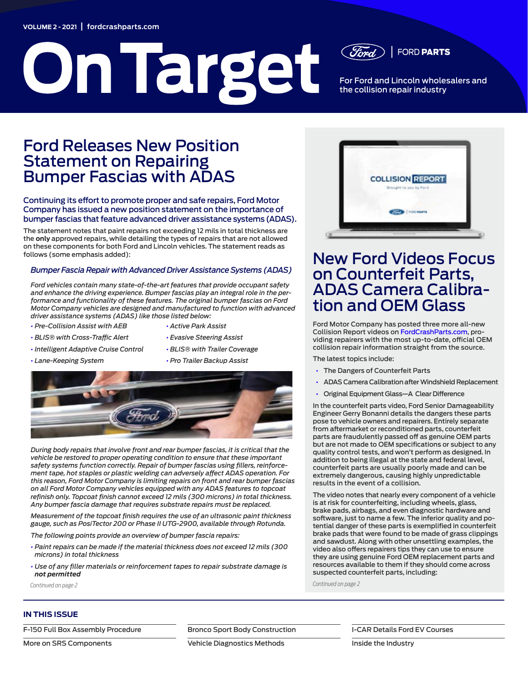## **VOLUME 2 - 2021** | **[fordcrashparts.com](https://fordcrashparts.com/)**

# **On Target**

For Ford and Lincoln wholesalers and the collision repair industry

**FORD PARTS** 

## Ford Releases New Position Statement on Repairing Bumper Fascias with ADAS

## Continuing its effort to promote proper and safe repairs, Ford Motor Company has issued a new position statement on the importance of bumper fascias that feature advanced driver assistance systems (ADAS).

The statement notes that paint repairs not exceeding 12 mils in total thickness are the **only** approved repairs, while detailing the types of repairs that are not allowed on these components for both Ford and Lincoln vehicles. The statement reads as follows (some emphasis added):

## *Bumper Fascia Repair with Advanced Driver Assistance Systems (ADAS)*

*Ford vehicles contain many state-of-the-art features that provide occupant safety and enhance the driving experience. Bumper fascias play an integral role in the performance and functionality of these features. The original bumper fascias on Ford Motor Company vehicles are designed and manufactured to function with advanced driver assistance systems (ADAS) like those listed below:*

*• Pre-Collision Assist with AEB • BLIS® with Cross-Traffic Alert* 

*• Lane-Keeping System* 

- *• Active Park Assist*
- *• Intelligent Adaptive Cruise Control*
- *• Evasive Steering Assist • BLIS® with Trailer Coverage*
- *• Pro Trailer Backup Assist*  **www.FordCrashParts.com**



*During body repairs that involve front and rear bumper fascias, it is critical that the*  vehicle be restored to proper operating condition to ensure that these important *safety systems function correctly. Repair of bumper fascias using fillers, reinforce-***YOUR ONLINE COLLISION CENTER** *ment tape, hot staples or plastic welding can adversely affect ADAS operation. For*  this reason, Ford Motor Company is limiting repairs on front and rear bumper fascias on all Ford Motor Company vehicles equipped with any ADAS features to topcoat *refinish only. Topcoat finish cannot exceed 12 mils (300 microns) in total thickness.*  Any bumper fascia damage that requires substrate repairs must be replaced.

weasurement of the topcoat finish requires the use of an ultrasonic paint thickness gauge, such as PosiTector 200 or Phase II UTG-2900, available through Rotunda. *aie topcoat fini* bse of an ottrasome pa

*The following points provide an overview of bumper fascia repairs:*

- *• Paint repairs can be made if the material thickness does not exceed 12 mils (300 microns) in total thickness*
- *• Use of any filler materials or reinforcement tapes to repair substrate damage is not permitted*



## New Ford Videos Focus on Counterfeit Parts, ADAS Camera Calibration and OEM Glass

Ford Motor Company has posted three more all-new Collision Report videos on [FordCrashParts.com](http://FordCrashParts.com), providing repairers with the most up-to-date, official OEM collision repair information straight from the source.

The latest topics include:

- The Dangers of Counterfeit Parts
- ADAS Camera Calibration after Windshield Replacement
- Original Equipment Glass—A Clear Difference

In the counterfeit parts video, Ford Senior Damageability Engineer Gerry Bonanni details the dangers these parts pose to vehicle owners and repairers. Entirely separate from aftermarket or reconditioned parts, counterfeit parts are fraudulently passed off as genuine OEM parts but are not made to OEM specifications or subject to any quality control tests, and won't perform as designed. In addition to being illegal at the state and federal level, counterfeit parts are usually poorly made and can be extremely dangerous, causing highly unpredictable results in the event of a collision.

The video notes that nearly every component of a vehicle is at risk for counterfeiting, including wheels, glass, brake pads, airbags, and even diagnostic hardware and software, just to name a few. The inferior quality and potential danger of these parts is exemplified in counterfeit brake pads that were found to be made of grass clippings and sawdust. Along with other unsettling examples, the video also offers repairers tips they can use to ensure they are using genuine Ford OEM replacement parts and resources available to them if they should come across suspected counterfeit parts, including:

*Continued on page 2 Continued on page 2*

## **IN THIS ISSUE**

[F-150 Full Box Assembly Procedure](#page-2-0)

[More on SRS Components](#page-3-0)

[Bronco Sport Body Construction](#page-4-0)

[Vehicle Diagnostics Methods](#page-2-1)

[I-CAR Details Ford EV Courses](#page-5-0)

[Inside the Industry](#page-5-1)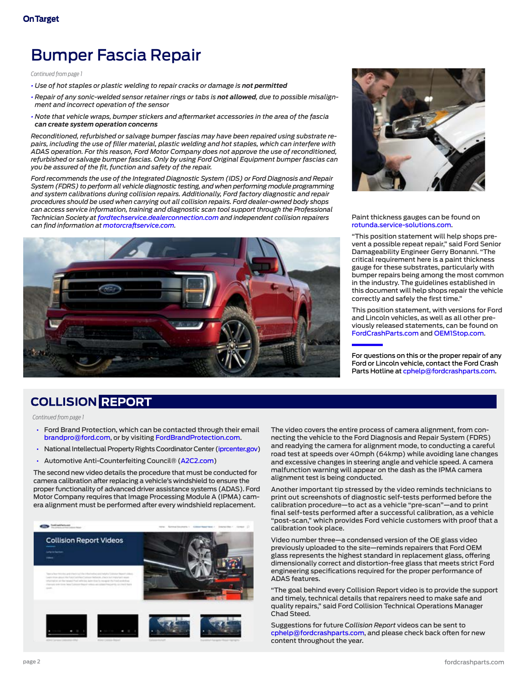# Bumper Fascia Repair

*Continued from page 1*

- $\cdot$  Use of hot staples or plastic welding to repair cracks or damage is not permitted
- *• Repair of any sonic-welded sensor retainer rings or tabs is not allowed, due to possible misalignment and incorrect operation of the sensor*
- *• Note that vehicle wraps, bumper stickers and aftermarket accessories in the area of the fascia can create system operation concerns*

*Reconditioned, refurbished or salvage bumper fascias may have been repaired using substrate repairs, including the use of filler material, plastic welding and hot staples, which can interfere with ADAS operation. For this reason, Ford Motor Company does not approve the use of reconditioned, refurbished or salvage bumper fascias. Only by using Ford Original Equipment bumper fascias can you be assured of the fit, function and safety of the repair.*

oned,<br>as can<br>pair<br>ming<br>aair<br>pps<br>onal<br>ers *Ford recommends the use of the Integrated Diagnostic System (IDS) or Ford Diagnosis and Repair System (FDRS) to perform all vehicle diagnostic testing, and when performing module programming and system calibrations during collision repairs. Additionally, Ford factory diagnostic and repair procedures should be used when carrying out all collision repairs. Ford dealer-owned body shops can access service information, training and diagnostic scan tool support through the Professional Technician Society at [fordtechservice.dealerconnection.com](http://www.fordtechservice.dealerconnection.com) and independent collision repairers can find information at [motorcraftservice.com.](http://www.motorcraftservice.com)*





Paint thickness gauges can be found on [rotunda.service-solutions.com.](http://rotunda.service-solutions.com)

"This position statement will help shops prevent a possible repeat repair," said Ford Senior Damageability Engineer Gerry Bonanni. "The critical requirement here is a paint thickness gauge for these substrates, particularly with bumper repairs being among the most common in the industry. The guidelines established in this document will help shops repair the vehicle correctly and safely the first time."

This position statement, with versions for Ford and Lincoln vehicles, as well as all other previously released statements, can be found on [FordCrashParts.com](http://FordCrashParts.com) and [OEM1Stop.com](http://OEM1Stop.com).

For questions on this or the proper repair of any Ford or Lincoln vehicle, contact the Ford Crash Parts Hotline at [cphelp@fordcrashparts.com](mailto:cphelp%40fordcrashparts.com?subject=Question%3A%20Proper%20Repair).

## **COLLISION REPORT**

*Continued from page 1*

- Ford Brand Protection, which can be contacted through their email [brandpro@ford.com,](mailto:brandpro@ford.com) or by visiting [FordBrandProtection.com.](http://www.FordBrandProtection.com)
- National Intellectual Property Rights Coordinator Center [\(iprcenter.gov\)](http://iprcenter.gov)
- Automotive Anti-Counterfeiting Council® ([A2C2.com\)](http://A2C2.com)

The second new video details the procedure that must be conducted for camera calibration after replacing a vehicle's windshield to ensure the proper functionality of advanced driver assistance systems (ADAS). Ford Motor Company requires that Image Processing Module A (IPMA) camera alignment must be performed after every windshield replacement.



The video covers the entire process of camera alignment, from connecting the vehicle to the Ford Diagnosis and Repair System (FDRS) and readying the camera for alignment mode, to conducting a careful road test at speeds over 40mph (64kmp) while avoiding lane changes and excessive changes in steering angle and vehicle speed. A camera malfunction warning will appear on the dash as the IPMA camera alignment test is being conducted.

Another important tip stressed by the video reminds technicians to print out screenshots of diagnostic self-tests performed before the calibration procedure—to act as a vehicle "pre-scan"—and to print final self-tests performed after a successful calibration, as a vehicle "post-scan," which provides Ford vehicle customers with proof that a calibration took place.

Video number three—a condensed version of the OE glass video previously uploaded to the site—reminds repairers that Ford OEM glass represents the highest standard in replacement glass, offering dimensionally correct and distortion-free glass that meets strict Ford engineering specifications required for the proper performance of ADAS features.

"The goal behind every Collision Report video is to provide the support and timely, technical details that repairers need to make safe and quality repairs," said Ford Collision Technical Operations Manager Chad Steed.

Suggestions for future C*ollision Report* videos can be sent to [cphelp@fordcrashparts.com,](mailto:cphelp%40fordcrashparts.com?subject=Question%3A%20Proper%20Repair) and please check back often for new content throughout the year.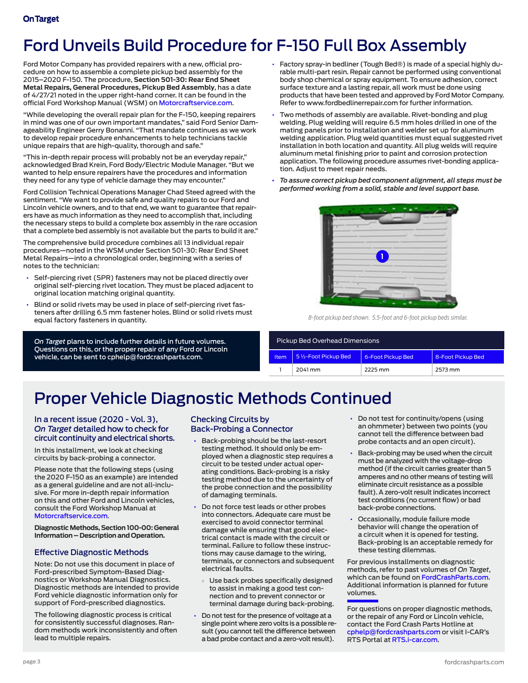# <span id="page-2-0"></span>Ford Unveils Build Procedure for F-150 Full Box Assembly

Ford Motor Company has provided repairers with a new, official procedure on how to assemble a complete pickup bed assembly for the 2015–2020 F-150. The procedure, **Section 501-30: Rear End Sheet Metal Repairs, General Procedures, Pickup Bed Assembly**, has a date of 4/27/21 noted in the upper right-hand corner. It can be found in the official Ford Workshop Manual (WSM) on [Motorcraftservice.com](https://www.motorcraftservice.com/Home/SetCountry?returnUrl=https%3A%2F%2Fwww.motorcraftservice.com%3A14002%2F).

"While developing the overall repair plan for the F-150, keeping repairers in mind was one of our own important mandates," said Ford Senior Damageability Engineer Gerry Bonanni. "That mandate continues as we work to develop repair procedure enhancements to help technicians tackle unique repairs that are high-quality, thorough and safe."

"This in-depth repair process will probably not be an everyday repair," acknowledged Brad Krein, Ford Body/Electric Module Manager. "But we wanted to help ensure repairers have the procedures and information they need for any type of vehicle damage they may encounter."

Ford Collision Technical Operations Manager Chad Steed agreed with the sentiment. "We want to provide safe and quality repairs to our Ford and Lincoln vehicle owners, and to that end, we want to guarantee that repairers have as much information as they need to accomplish that, including the necessary steps to build a complete box assembly in the rare occasion that a complete bed assembly is not available but the parts to build it are."

The comprehensive build procedure combines all 13 individual repair procedures—noted in the WSM under Section 501-30: Rear End Sheet Metal Repairs—into a chronological order, beginning with a series of notes to the technician:

- Self-piercing rivet (SPR) fasteners may not be placed directly over original self-piercing rivet location. They must be placed adjacent to original location matching original quantity.
- Blind or solid rivets may be used in place of self-piercing rivet fasteners after drilling 6.5 mm fastener holes. Blind or solid rivets must equal factory fasteners in quantity.

*On Target* plans to include further details in future volumes. Questions on this, or the proper repair of any Ford or Lincoln vehicle, can be sent to [cphelp@fordcrashparts.com](mailto:cphelp@fordcrashparts.com).

- Factory spray-in bedliner (Tough Bed®) is made of a special highly durable multi-part resin. Repair cannot be performed using conventional body shop chemical or spray equipment. To ensure adhesion, correct surface texture and a lasting repair, all work must be done using products that have been tested and approved by Ford Motor Company. Refer to [www.fordbedlinerrepair.com](http://www.fordbedlinerrepair.com) for further information.
- Two methods of assembly are available. Rivet-bonding and plug welding. Plug welding will require 6.5 mm holes drilled in one of the mating panels prior to installation and welder set up for aluminum welding application. Plug weld quantities must equal suggested rivet installation in both location and quantity. All plug welds will require aluminum metal finishing prior to paint and corrosion protection application. The following procedure assumes rivet-bonding application. Adjust to meet repair needs.
- *• To assure correct pickup bed component alignment, all steps must be performed working from a solid, stable and level support base.*



*8-foot pickup bed shown. 5.5-foot and 6-foot pickup beds similar.*

## Pickup Bed Overhead Dimensions

| Item | 5 1/2-Foot Pickup Bed | 6-Foot Pickup Bed | 8-Foot Pickup Bed |
|------|-----------------------|-------------------|-------------------|
|      | 2041 mm               | 2225 mm           | 2573 mm           |

# <span id="page-2-1"></span>Proper Vehicle Diagnostic Methods Continued

## In a recent issue ([2020 - Vol. 3](https://www.fordcrashparts.com/sites/default/files/On%20Target%20-%202020%2C%20Vol.%203%20FNL%20(9-30-20).pdf)), *On Target* detailed how to check for circuit continuity and electrical shorts.

In this installment, we look at checking circuits by back-probing a connector.

Please note that the following steps (using the 2020 F-150 as an example) are intended as a general guideline and are not all-inclusive. For more in-depth repair information on this and other Ford and Lincoln vehicles, consult the Ford Workshop Manual at [Motorcraftservice.com.](https://www.motorcraftservice.com/Home/SetCountry?returnUrl=https%3A%2F%2Fwww.motorcraftservice.com%3A14002%2F)

**Diagnostic Methods, Section 100-00: General Information – Description and Operation.**

## Effective Diagnostic Methods

Note: Do not use this document in place of Ford-prescribed Symptom-Based Diagnostics or Workshop Manual Diagnostics. Diagnostic methods are intended to provide Ford vehicle diagnostic information only for support of Ford-prescribed diagnostics.

The following diagnostic process is critical for consistently successful diagnoses. Random methods work inconsistently and often lead to multiple repairs.

## Checking Circuits by Back-Probing a Connector

- Back-probing should be the last-resort testing method. It should only be employed when a diagnostic step requires a circuit to be tested under actual operating conditions. Back-probing is a risky testing method due to the uncertainty of the probe connection and the possibility of damaging terminals.
- Do not force test leads or other probes into connectors. Adequate care must be exercised to avoid connector terminal damage while ensuring that good electrical contact is made with the circuit or terminal. Failure to follow these instructions may cause damage to the wiring, terminals, or connectors and subsequent electrical faults.
- Use back probes specifically designed to assist in making a good test connection and to prevent connector or terminal damage during back-probing.
- Do not test for the presence of voltage at a single point where zero volts is a possible result (you cannot tell the difference between a bad probe contact and a zero-volt result).
- Do not test for continuity/opens (using an ohmmeter) between two points (you cannot tell the difference between bad probe contacts and an open circuit).
- Back-probing may be used when the circuit must be analyzed with the voltage-drop method (if the circuit carries greater than 5 amperes and no other means of testing will eliminate circuit resistance as a possible fault). A zero-volt result indicates incorrect test conditions (no current flow) or bad back-probe connections.
- Occasionally, module failure mode behavior will change the operation of a circuit when it is opened for testing. Back-probing is an acceptable remedy for these testing dilemmas.

For previous installments on diagnostic methods, refer to past volumes of *On Target*, which can be found on [FordCrashParts.com.](http://FordCrashParts.com) Additional information is planned for future volumes.

For questions on proper diagnostic methods, or the repair of any Ford or Lincoln vehicle, contact the Ford Crash Parts Hotline at [cphelp@fordcrashparts.com](mailto:cphelp%40fordcrashparts.com?subject=Question%3A%20Proper%20Repair) or visit I-CAR's RTS Portal at [RTS.i-car.com.](http://RTS.i-car.com)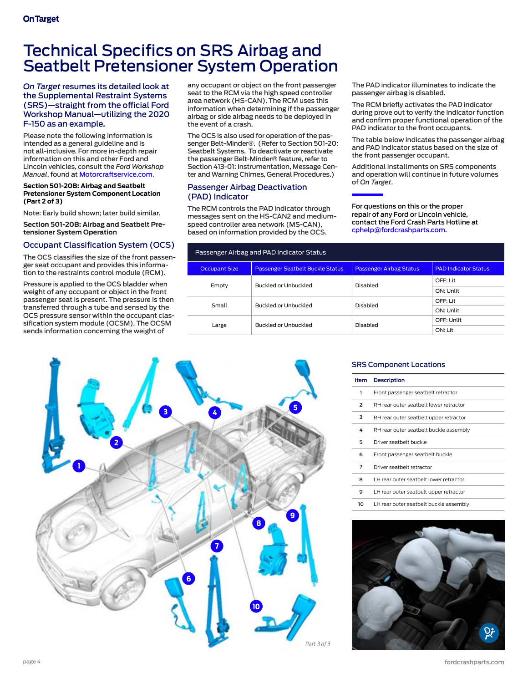## <span id="page-3-0"></span>Technical Specifics on SRS Airbag and Seatbelt Pretensioner System Operation

## *On Target* resumes its detailed look at the Supplemental Restraint Systems (SRS)—straight from the official Ford Workshop Manual—utilizing the 2020 F-150 as an example.

Please note the following information is intended as a general guideline and is not all-inclusive. For more in-depth repair information on this and other Ford and Lincoln vehicles, consult the *Ford Workshop Manual*, found at [Motorcraftservice.com.](https://www.motorcraftservice.com/Home/SetCountry?returnUrl=https%3A%2F%2Fwww.motorcraftservice.com%3A14002%2F)

#### **Section 501-20B: Airbag and Seatbelt Pretensioner System Component Location (Part 2 of 3)**

Note: Early build shown; later build similar.

**Section 501-20B: Airbag and Seatbelt Pretensioner System Operation**

## Occupant Classification System (OCS)

The OCS classifies the size of the front passenger seat occupant and provides this information to the restraints control module (RCM).

Pressure is applied to the OCS bladder when weight of any occupant or object in the front passenger seat is present. The pressure is then transferred through a tube and sensed by the OCS pressure sensor within the occupant classification system module (OCSM). The OCSM sends information concerning the weight of

any occupant or object on the front passenger seat to the RCM via the high speed controller area network (HS-CAN). The RCM uses this information when determining if the passenger airbag or side airbag needs to be deployed in the event of a crash.

The OCS is also used for operation of the passenger Belt-Minder®. (Refer to Section 501-20: Seatbelt Systems. To deactivate or reactivate the passenger Belt-Minder® feature, refer to Section 413-01: Instrumentation, Message Center and Warning Chimes, General Procedures.)

## Passenger Airbag Deactivation (PAD) Indicator

The RCM controls the PAD indicator through messages sent on the HS-CAN2 and mediumspeed controller area network (MS-CAN), based on information provided by the OCS.

The PAD indicator illuminates to indicate the passenger airbag is disabled.

The RCM briefly activates the PAD indicator during prove out to verify the indicator function and confirm proper functional operation of the PAD indicator to the front occupants.

The table below indicates the passenger airbag and PAD indicator status based on the size of the front passenger occupant.

Additional installments on SRS components and operation will continue in future volumes of *On Target*.

For questions on this or the proper repair of any Ford or Lincoln vehicle, contact the Ford Crash Parts Hotline at [cphelp@fordcrashparts.com](mailto:cphelp%40fordcrashparts.com?subject=Question%3A%20Proper%20Repair).

| Passenger Airbag and PAD Indicator Status |                                  |                                |                             |  |  |  |
|-------------------------------------------|----------------------------------|--------------------------------|-----------------------------|--|--|--|
| <b>Occupant Size</b>                      | Passenger Seatbelt Buckle Status | <b>Passenger Airbag Status</b> | <b>PAD Indicator Status</b> |  |  |  |
| Empty                                     | Buckled or Unbuckled             | Disabled                       | OFF: Lit                    |  |  |  |
|                                           |                                  |                                | ON: Unlit                   |  |  |  |
| Small                                     | Buckled or Unbuckled             | Disabled                       | OFF: Lit                    |  |  |  |
|                                           |                                  |                                | ON: Unlit                   |  |  |  |
|                                           | Buckled or Unbuckled             | Disabled                       | OFF: Unlit                  |  |  |  |
| Large                                     |                                  |                                | ON: Lit                     |  |  |  |



## SRS Component Locations

| Item | <b>Description</b>                     |  |
|------|----------------------------------------|--|
| ı    | Front passenger seatbelt retractor     |  |
| 2    | RH rear outer seatbelt lower retractor |  |
| 3    | RH rear outer seatbelt upper retractor |  |
| 4    | RH rear outer seatbelt buckle assembly |  |
| 5    | Driver seathelt buckle                 |  |
| 6    | Front passenger seatbelt buckle        |  |
| 7    | Driver seathelt retractor              |  |
| я    | LH rear outer seatbelt lower retractor |  |
| 9    | LH rear outer seatbelt upper retractor |  |
| 10   | LH rear outer seatbelt buckle assembly |  |

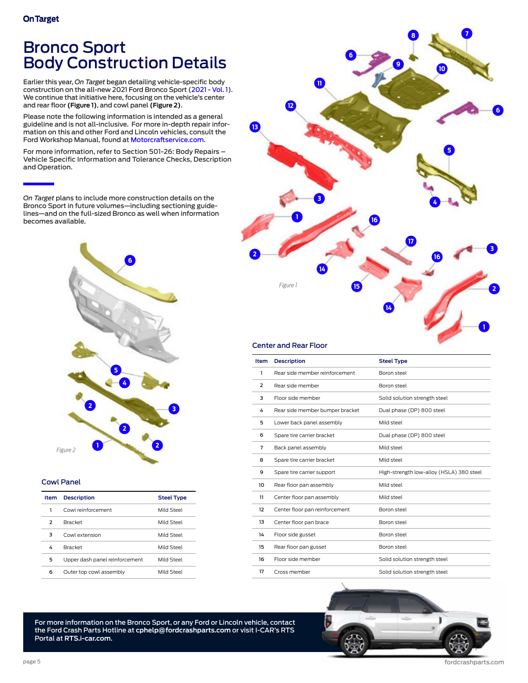## <span id="page-4-0"></span>Bronco Sport Body Construction Details

Earlier this year, *On Target* began detailing vehicle-specific body construction on the all-new 2021 Ford Bronco Sport [\(2021 - Vol. 1](https://fordcrashparts.com/wp-content/uploads/2021/04/On-Target-2021-Vol.1-FNL-3-31-21.pdf)). We continue that initiative here, focusing on the vehicle's center and rear floor **(Figure 1)**, and cowl panel **(Figure 2)**.

Please note the following information is intended as a general guideline and is not all-inclusive. For more in-depth repair information on this and other Ford and Lincoln vehicles, consult the Ford Workshop Manual, found at [Motorcraftservice.com](https://www.motorcraftservice.com/Home/SetCountry?returnUrl=https%3A%2F%2Fwww.motorcraftservice.com%3A14002%2F).

For more information, refer to Section 501-26: Body Repairs – Vehicle Specific Information and Tolerance Checks, Description and Operation.

*On Target* plans to include more construction details on the Bronco Sport in future volumes—including sectioning guidelines—and on the full-sized Bronco as well when information becomes available.



#### Cowl Panel

| Item                     | <b>Description</b>             | <b>Steel Type</b> |
|--------------------------|--------------------------------|-------------------|
| 1                        | Cowl reinforcement             | Mild Steel        |
| $\overline{\phantom{1}}$ | <b>Bracket</b>                 | Mild Steel        |
| 3                        | Cowl extension                 | Mild Steel        |
| 4                        | <b>Bracket</b>                 | Mild Steel        |
| 5                        | Upper dash panel reinforcement | Mild Steel        |
| 6                        | Outer top cowl assembly        | Mild Steel        |



## Center and Rear Floor

| Item | <b>Description</b>              | <b>Steel Type</b>                        |
|------|---------------------------------|------------------------------------------|
| 1    | Rear side member reinforcement  | Boron steel                              |
| 2    | Rear side member                | Boron steel                              |
| 3    | Floor side member               | Solid solution strength steel            |
| 4    | Rear side member bumper bracket | Dual phase (DP) 800 steel                |
| 5    | Lower back panel assembly       | Mild steel                               |
| 6    | Spare tire carrier bracket      | Dual phase (DP) 800 steel                |
| 7    | Back panel assembly             | Mild steel                               |
| 8    | Spare tire carrier bracket      | Mild steel                               |
| 9    | Spare tire carrier support      | High-strength low-alloy (HSLA) 380 steel |
| 10   | Rear floor pan assembly         | Mild steel                               |
| 11   | Center floor pan assembly       | Mild steel                               |
| 12   | Center floor pan reinforcement  | Boron steel                              |
| 13   | Center floor pan brace          | Boron steel                              |
| 14   | Floor side gusset               | Boron steel                              |
| 15   | Rear floor pan gusset           | Boron steel                              |
| 16   | Floor side member               | Solid solution strength steel            |
| 17   | Cross member                    | Solid solution strength steel            |

For more information on the Bronco Sport, or any Ford or Lincoln vehicle, contact the Ford Crash Parts Hotline at **[cphelp@fordcrashparts.com](mailto:cphelp%40fordcrashparts.com%20?subject=More%20Information)** or visit I-CAR's RTS Portal at **[RTS.i-car.com](https://rts.i-car.com/)**.